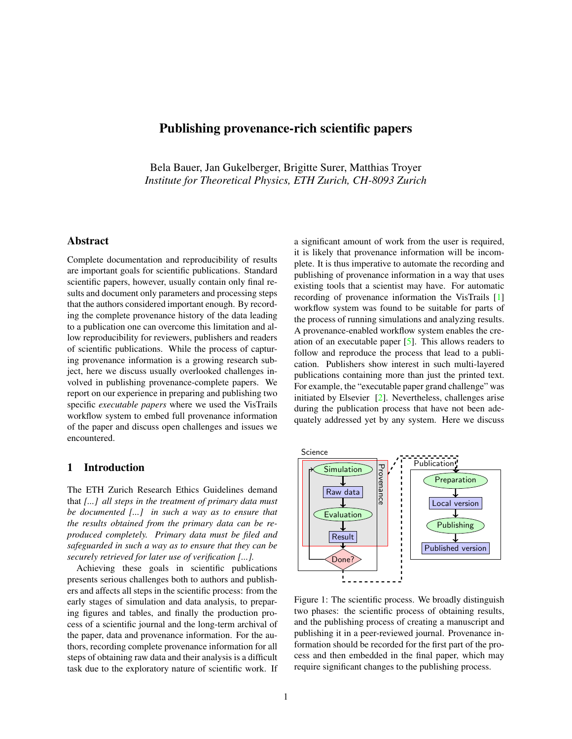# Publishing provenance-rich scientific papers

Bela Bauer, Jan Gukelberger, Brigitte Surer, Matthias Troyer *Institute for Theoretical Physics, ETH Zurich, CH-8093 Zurich*

## Abstract

Complete documentation and reproducibility of results are important goals for scientific publications. Standard scientific papers, however, usually contain only final results and document only parameters and processing steps that the authors considered important enough. By recording the complete provenance history of the data leading to a publication one can overcome this limitation and allow reproducibility for reviewers, publishers and readers of scientific publications. While the process of capturing provenance information is a growing research subject, here we discuss usually overlooked challenges involved in publishing provenance-complete papers. We report on our experience in preparing and publishing two specific *executable papers* where we used the VisTrails workflow system to embed full provenance information of the paper and discuss open challenges and issues we encountered.

#### 1 Introduction

The ETH Zurich Research Ethics Guidelines demand that *[...] all steps in the treatment of primary data must be documented [...] in such a way as to ensure that the results obtained from the primary data can be reproduced completely. Primary data must be filed and safeguarded in such a way as to ensure that they can be securely retrieved for later use of verification [...].*

Achieving these goals in scientific publications presents serious challenges both to authors and publishers and affects all steps in the scientific process: from the early stages of simulation and data analysis, to preparing figures and tables, and finally the production process of a scientific journal and the long-term archival of the paper, data and provenance information. For the authors, recording complete provenance information for all steps of obtaining raw data and their analysis is a difficult task due to the exploratory nature of scientific work. If a significant amount of work from the user is required, it is likely that provenance information will be incomplete. It is thus imperative to automate the recording and publishing of provenance information in a way that uses existing tools that a scientist may have. For automatic recording of provenance information the VisTrails [\[1\]](#page-3-0) workflow system was found to be suitable for parts of the process of running simulations and analyzing results. A provenance-enabled workflow system enables the creation of an executable paper [\[5\]](#page-3-1). This allows readers to follow and reproduce the process that lead to a publication. Publishers show interest in such multi-layered publications containing more than just the printed text. For example, the "executable paper grand challenge" was initiated by Elsevier [\[2\]](#page-3-2). Nevertheless, challenges arise during the publication process that have not been adequately addressed yet by any system. Here we discuss



<span id="page-0-0"></span>Figure 1: The scientific process. We broadly distinguish two phases: the scientific process of obtaining results, and the publishing process of creating a manuscript and publishing it in a peer-reviewed journal. Provenance information should be recorded for the first part of the process and then embedded in the final paper, which may require significant changes to the publishing process.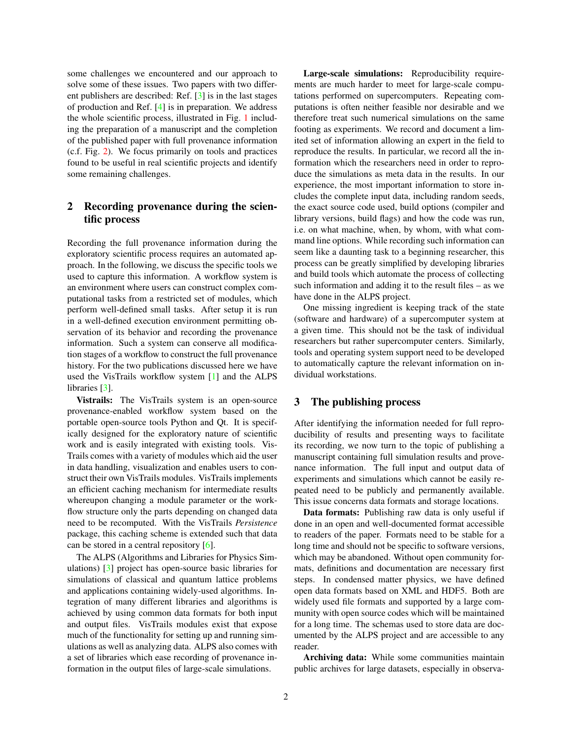some challenges we encountered and our approach to solve some of these issues. Two papers with two different publishers are described: Ref. [\[3\]](#page-3-3) is in the last stages of production and Ref. [\[4\]](#page-3-4) is in preparation. We address the whole scientific process, illustrated in Fig. [1](#page-0-0) including the preparation of a manuscript and the completion of the published paper with full provenance information (c.f. Fig. [2\)](#page-2-0). We focus primarily on tools and practices found to be useful in real scientific projects and identify some remaining challenges.

## 2 Recording provenance during the scientific process

Recording the full provenance information during the exploratory scientific process requires an automated approach. In the following, we discuss the specific tools we used to capture this information. A workflow system is an environment where users can construct complex computational tasks from a restricted set of modules, which perform well-defined small tasks. After setup it is run in a well-defined execution environment permitting observation of its behavior and recording the provenance information. Such a system can conserve all modification stages of a workflow to construct the full provenance history. For the two publications discussed here we have used the VisTrails workflow system [\[1\]](#page-3-0) and the ALPS libraries [\[3\]](#page-3-3).

Vistrails: The VisTrails system is an open-source provenance-enabled workflow system based on the portable open-source tools Python and Qt. It is specifically designed for the exploratory nature of scientific work and is easily integrated with existing tools. Vis-Trails comes with a variety of modules which aid the user in data handling, visualization and enables users to construct their own VisTrails modules. VisTrails implements an efficient caching mechanism for intermediate results whereupon changing a module parameter or the workflow structure only the parts depending on changed data need to be recomputed. With the VisTrails *Persistence* package, this caching scheme is extended such that data can be stored in a central repository [\[6\]](#page-3-5).

The ALPS (Algorithms and Libraries for Physics Simulations) [\[3\]](#page-3-3) project has open-source basic libraries for simulations of classical and quantum lattice problems and applications containing widely-used algorithms. Integration of many different libraries and algorithms is achieved by using common data formats for both input and output files. VisTrails modules exist that expose much of the functionality for setting up and running simulations as well as analyzing data. ALPS also comes with a set of libraries which ease recording of provenance information in the output files of large-scale simulations.

Large-scale simulations: Reproducibility requirements are much harder to meet for large-scale computations performed on supercomputers. Repeating computations is often neither feasible nor desirable and we therefore treat such numerical simulations on the same footing as experiments. We record and document a limited set of information allowing an expert in the field to reproduce the results. In particular, we record all the information which the researchers need in order to reproduce the simulations as meta data in the results. In our experience, the most important information to store includes the complete input data, including random seeds, the exact source code used, build options (compiler and library versions, build flags) and how the code was run, i.e. on what machine, when, by whom, with what command line options. While recording such information can seem like a daunting task to a beginning researcher, this process can be greatly simplified by developing libraries and build tools which automate the process of collecting such information and adding it to the result files – as we have done in the ALPS project.

One missing ingredient is keeping track of the state (software and hardware) of a supercomputer system at a given time. This should not be the task of individual researchers but rather supercomputer centers. Similarly, tools and operating system support need to be developed to automatically capture the relevant information on individual workstations.

### 3 The publishing process

After identifying the information needed for full reproducibility of results and presenting ways to facilitate its recording, we now turn to the topic of publishing a manuscript containing full simulation results and provenance information. The full input and output data of experiments and simulations which cannot be easily repeated need to be publicly and permanently available. This issue concerns data formats and storage locations.

Data formats: Publishing raw data is only useful if done in an open and well-documented format accessible to readers of the paper. Formats need to be stable for a long time and should not be specific to software versions, which may be abandoned. Without open community formats, definitions and documentation are necessary first steps. In condensed matter physics, we have defined open data formats based on XML and HDF5. Both are widely used file formats and supported by a large community with open source codes which will be maintained for a long time. The schemas used to store data are documented by the ALPS project and are accessible to any reader.

Archiving data: While some communities maintain public archives for large datasets, especially in observa-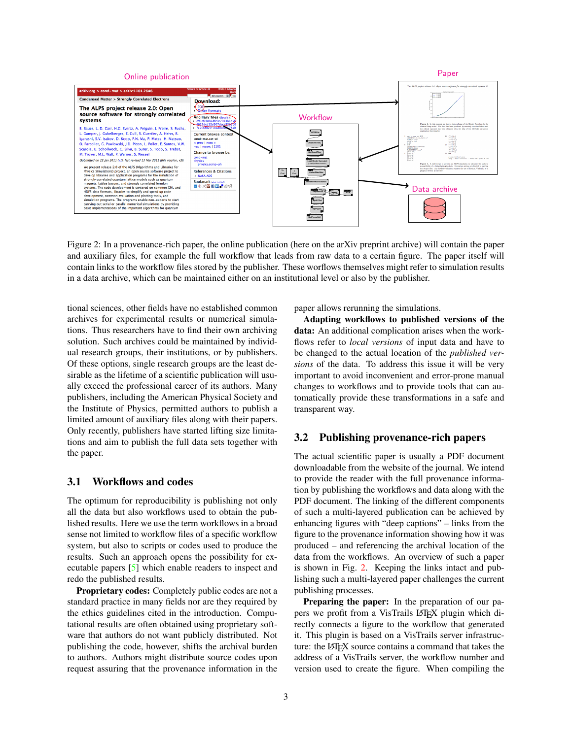

<span id="page-2-0"></span>Figure 2: In a provenance-rich paper, the online publication (here on the arXiv preprint archive) will contain the paper and auxiliary files, for example the full workflow that leads from raw data to a certain figure. The paper itself will contain links to the workflow files stored by the publisher. These worflows themselves might refer to simulation results in a data archive, which can be maintained either on an institutional level or also by the publisher.

tional sciences, other fields have no established common archives for experimental results or numerical simulations. Thus researchers have to find their own archiving solution. Such archives could be maintained by individual research groups, their institutions, or by publishers. Of these options, single research groups are the least desirable as the lifetime of a scientific publication will usually exceed the professional career of its authors. Many publishers, including the American Physical Society and the Institute of Physics, permitted authors to publish a limited amount of auxiliary files along with their papers. Only recently, publishers have started lifting size limitations and aim to publish the full data sets together with the paper.

### 3.1 Workflows and codes

The optimum for reproducibility is publishing not only all the data but also workflows used to obtain the published results. Here we use the term workflows in a broad sense not limited to workflow files of a specific workflow system, but also to scripts or codes used to produce the results. Such an approach opens the possibility for executable papers [\[5\]](#page-3-1) which enable readers to inspect and redo the published results.

Proprietary codes: Completely public codes are not a standard practice in many fields nor are they required by the ethics guidelines cited in the introduction. Computational results are often obtained using proprietary software that authors do not want publicly distributed. Not publishing the code, however, shifts the archival burden to authors. Authors might distribute source codes upon request assuring that the provenance information in the paper allows rerunning the simulations.

Adapting workflows to published versions of the data: An additional complication arises when the workflows refer to *local versions* of input data and have to be changed to the actual location of the *published versions* of the data. To address this issue it will be very important to avoid inconvenient and error-prone manual changes to workflows and to provide tools that can automatically provide these transformations in a safe and transparent way.

### 3.2 Publishing provenance-rich papers

The actual scientific paper is usually a PDF document downloadable from the website of the journal. We intend to provide the reader with the full provenance information by publishing the workflows and data along with the PDF document. The linking of the different components of such a multi-layered publication can be achieved by enhancing figures with "deep captions" – links from the figure to the provenance information showing how it was produced – and referencing the archival location of the data from the workflows. An overview of such a paper is shown in Fig. [2.](#page-2-0) Keeping the links intact and publishing such a multi-layered paper challenges the current publishing processes.

Preparing the paper: In the preparation of our papers we profit from a VisTrails LATEX plugin which directly connects a figure to the workflow that generated it. This plugin is based on a VisTrails server infrastructure: the LAT<sub>E</sub>X source contains a command that takes the address of a VisTrails server, the workflow number and version used to create the figure. When compiling the